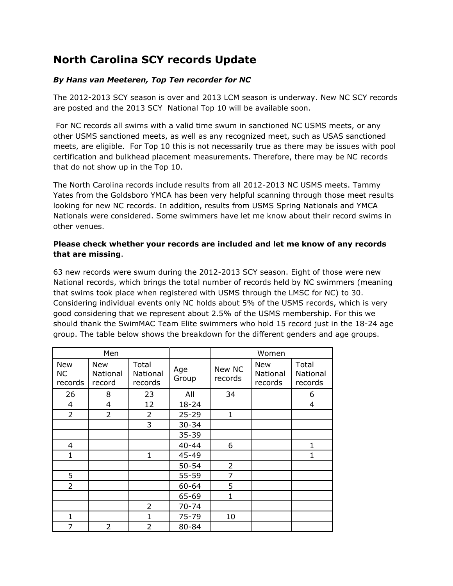## **North Carolina SCY records Update**

## *By Hans van Meeteren, Top Ten recorder for NC*

The 2012-2013 SCY season is over and 2013 LCM season is underway. New NC SCY records are posted and the 2013 SCY National Top 10 will be available soon.

For NC records all swims with a valid time swum in sanctioned NC USMS meets, or any other USMS sanctioned meets, as well as any recognized meet, such as USAS sanctioned meets, are eligible. For Top 10 this is not necessarily true as there may be issues with pool certification and bulkhead placement measurements. Therefore, there may be NC records that do not show up in the Top 10.

The North Carolina records include results from all 2012-2013 NC USMS meets. Tammy Yates from the Goldsboro YMCA has been very helpful scanning through those meet results looking for new NC records. In addition, results from USMS Spring Nationals and YMCA Nationals were considered. Some swimmers have let me know about their record swims in other venues.

## **Please check whether your records are included and let me know of any records that are missing**.

63 new records were swum during the 2012-2013 SCY season. Eight of those were new National records, which brings the total number of records held by NC swimmers (meaning that swims took place when registered with USMS through the LMSC for NC) to 30. Considering individual events only NC holds about 5% of the USMS records, which is very good considering that we represent about 2.5% of the USMS membership. For this we should thank the SwimMAC Team Elite swimmers who hold 15 record just in the 18-24 age group. The table below shows the breakdown for the different genders and age groups.

| Men                                |                                  |                              |              | Women             |                                   |                              |
|------------------------------------|----------------------------------|------------------------------|--------------|-------------------|-----------------------------------|------------------------------|
| <b>New</b><br><b>NC</b><br>records | <b>New</b><br>National<br>record | Total<br>National<br>records | Age<br>Group | New NC<br>records | <b>New</b><br>National<br>records | Total<br>National<br>records |
| 26                                 | 8                                | 23                           | All          | 34                |                                   | 6                            |
| 4                                  | 4                                | 12                           | $18 - 24$    |                   |                                   | 4                            |
| $\overline{2}$                     | $\overline{2}$                   | 2                            | $25 - 29$    | 1                 |                                   |                              |
|                                    |                                  | 3                            | $30 - 34$    |                   |                                   |                              |
|                                    |                                  |                              | $35 - 39$    |                   |                                   |                              |
| 4                                  |                                  |                              | $40 - 44$    | 6                 |                                   | 1                            |
| $\mathbf{1}$                       |                                  | 1                            | 45-49        |                   |                                   | 1                            |
|                                    |                                  |                              | $50 - 54$    | $\overline{2}$    |                                   |                              |
| 5                                  |                                  |                              | 55-59        | 7                 |                                   |                              |
| $\overline{2}$                     |                                  |                              | $60 - 64$    | 5                 |                                   |                              |
|                                    |                                  |                              | 65-69        | 1                 |                                   |                              |
|                                    |                                  | $\overline{2}$               | $70 - 74$    |                   |                                   |                              |
| 1                                  |                                  |                              | 75-79        | 10                |                                   |                              |
| 7                                  | $\overline{2}$                   | 2                            | 80-84        |                   |                                   |                              |